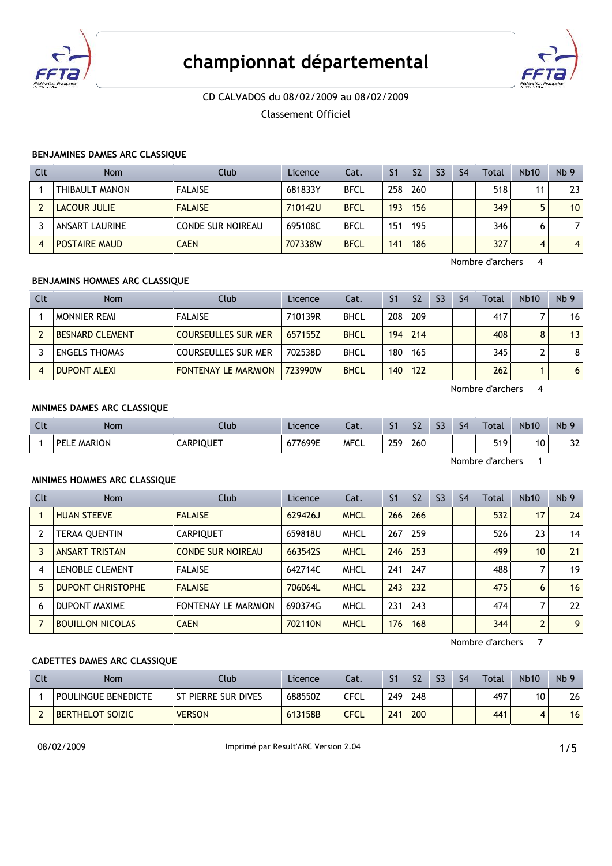

# **championnat dÈpartemental**



# CD CALVADOS du 08/02/2009 au 08/02/2009

Classement Officiel

## **BENJAMINES DAMES ARC CLASSIQUE**

| Clt | <b>Nom</b>            | Club                     | Licence | Cat.        | S <sub>1</sub> | S <sub>2</sub> | S <sub>3</sub> | S4 | Total | <b>Nb10</b> | Nb <sub>9</sub> |
|-----|-----------------------|--------------------------|---------|-------------|----------------|----------------|----------------|----|-------|-------------|-----------------|
|     | THIBAULT MANON        | <b>FALAISE</b>           | 681833Y | <b>BFCL</b> | 258            | 260            |                |    | 518   | 11          | 23              |
|     | <b>LACOUR JULIE</b>   | <b>FALAISE</b>           | 710142U | <b>BFCL</b> | 193            | 156            |                |    | 349   | 5           | 10              |
|     | <b>ANSART LAURINE</b> | <b>CONDE SUR NOIREAU</b> | 695108C | <b>BFCL</b> | 151            | 195            |                |    | 346   | 6           |                 |
|     | <b>POSTAIRE MAUD</b>  | <b>CAEN</b>              | 707338W | <b>BFCL</b> | 141            | 186            |                |    | 327   | 4           | $\overline{4}$  |

Nombre d'archers 4

# **BENJAMINS HOMMES ARC CLASSIQUE**

| Clt | <b>Nom</b>             | Club                       | Licence | Cat.        | S1   | S <sub>2</sub> | S <sub>3</sub> | S <sub>4</sub> | Total | <b>Nb10</b> | Nb <sub>9</sub> |
|-----|------------------------|----------------------------|---------|-------------|------|----------------|----------------|----------------|-------|-------------|-----------------|
|     | <b>MONNIER REMI</b>    | <b>FALAISE</b>             | 710139R | <b>BHCL</b> | 208  | 209            |                |                | 417   |             | 16 <sup>1</sup> |
|     | <b>BESNARD CLEMENT</b> | <b>COURSEULLES SUR MER</b> | 657155Z | <b>BHCL</b> |      | 194 214        |                |                | 408   |             | 13              |
|     | <b>ENGELS THOMAS</b>   | <b>COURSEULLES SUR MER</b> | 702538D | <b>BHCL</b> | 180  | 165            |                |                | 345   |             | 8               |
|     | <b>DUPONT ALEXI</b>    | <b>FONTENAY LE MARMION</b> | 723990W | <b>BHCL</b> | 140, | 122            |                |                | 262   |             | 6 <sup>1</sup>  |

Nombre d'archers 4

### **MINIMES DAMES ARC CLASSIQUE**

| Clt | Nom         | Club             | Licence | Cat.        | S <sub>1</sub> | S <sub>2</sub> | S <sub>3</sub> | S4 | Total            | <b>Nb10</b> | N <sub>b</sub> 9 |
|-----|-------------|------------------|---------|-------------|----------------|----------------|----------------|----|------------------|-------------|------------------|
|     | PELE MARION | <b>CARPIQUET</b> | 677699E | <b>MFCL</b> | 259            | 260            |                |    | 519              | 10          | າາ<br>37         |
|     |             |                  |         |             |                |                |                |    | Nombre d'archers |             |                  |

# **MINIMES HOMMES ARC CLASSIQUE**

| Clt | <b>Nom</b>               | Club                     | Licence | Cat.        | S <sub>1</sub> | S <sub>2</sub> | S <sub>3</sub> | S <sub>4</sub> | Total | <b>Nb10</b>    | Nb <sub>9</sub> |
|-----|--------------------------|--------------------------|---------|-------------|----------------|----------------|----------------|----------------|-------|----------------|-----------------|
|     | <b>HUAN STEEVE</b>       | <b>FALAISE</b>           | 629426J | <b>MHCL</b> | 266            | 266            |                |                | 532   | 17             | 24              |
|     | <b>TERAA QUENTIN</b>     | <b>CARPIQUET</b>         | 659818U | <b>MHCL</b> | 267            | 259            |                |                | 526   | 23             | 14              |
|     | <b>ANSART TRISTAN</b>    | <b>CONDE SUR NOIREAU</b> | 663542S | <b>MHCL</b> | 246            | 253            |                |                | 499   | 10             | 21              |
| 4   | <b>LENOBLE CLEMENT</b>   | <b>FALAISE</b>           | 642714C | <b>MHCL</b> | 241            | 247            |                |                | 488   |                | 19 <sup>1</sup> |
| 5   | <b>DUPONT CHRISTOPHE</b> | <b>FALAISE</b>           | 706064L | <b>MHCL</b> | 243            | 232            |                |                | 475   | 6              | 16              |
| 6   | DUPONT MAXIME            | FONTENAY LE MARMION      | 690374G | <b>MHCL</b> | 231            | 243            |                |                | 474   |                | 22              |
|     | <b>BOUILLON NICOLAS</b>  | <b>CAEN</b>              | 702110N | <b>MHCL</b> | 176            | 168            |                |                | 344   | $\overline{2}$ | 9 <sup>1</sup>  |

Nombre d'archers 7

# **CADETTES DAMES ARC CLASSIQUE**

| Cl | <b>Nom</b>              | Club                       | Licence | Cat. | S <sub>1</sub> | S <sub>2</sub> | S <sub>3</sub> | <b>S4</b> | <b>Total</b> | <b>Nb10</b> | Nb <sub>9</sub> |
|----|-------------------------|----------------------------|---------|------|----------------|----------------|----------------|-----------|--------------|-------------|-----------------|
|    | POULINGUE BENEDICTE     | <b>ST PIERRE SUR DIVES</b> | 688550Z | ርFCL | 249            | 248            |                |           | 497          | 10          | 26              |
|    | <b>BERTHELOT SOIZIC</b> | <b>VERSON</b>              | 613158B | CFCL | 241            | 200            |                |           | 441          |             | 16              |

08/02/2009 **Imprimé par Result'ARC Version 2.04 1/5**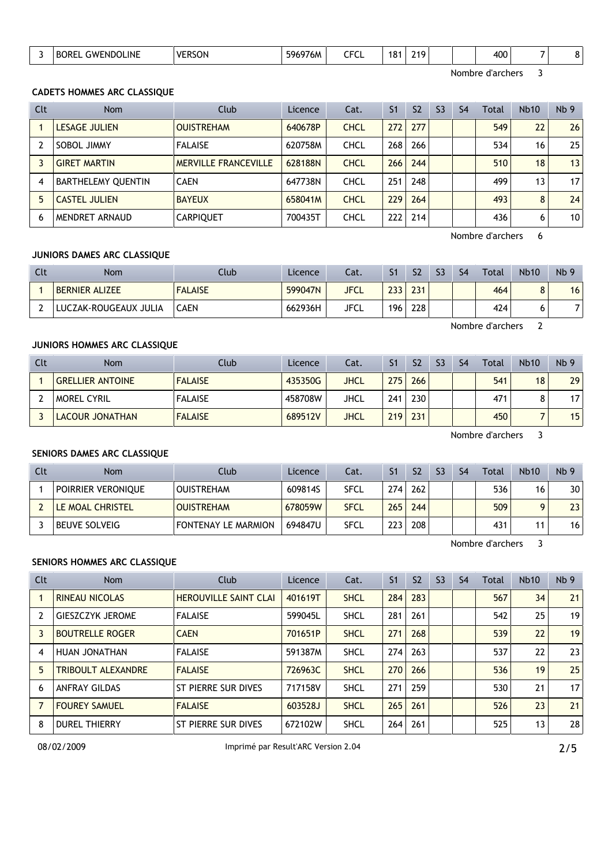|  |  | <b>INE</b><br>-NDC<br>- WI | -----<br><b>VF</b><br>י -<br>50 N | $-0.0000000$<br>5965.<br>/ OM | $- - -$<br>בי ה | o,<br>וסי | . . |  |  | ممد<br>21 L<br>∽∪∿ |  |  |
|--|--|----------------------------|-----------------------------------|-------------------------------|-----------------|-----------|-----|--|--|--------------------|--|--|
|--|--|----------------------------|-----------------------------------|-------------------------------|-----------------|-----------|-----|--|--|--------------------|--|--|

Nombre d'archers 3

#### **CADETS HOMMES ARC CLASSIQUE**

| Clt | <b>Nom</b>           | Club                        | Licence | Cat.        | S <sub>1</sub> | S <sub>2</sub> | S <sub>3</sub> | S <sub>4</sub> | Total | <b>Nb10</b> | Nb <sub>9</sub> |
|-----|----------------------|-----------------------------|---------|-------------|----------------|----------------|----------------|----------------|-------|-------------|-----------------|
|     | LESAGE JULIEN        | <b>OUISTREHAM</b>           | 640678P | <b>CHCL</b> | 272            | 277            |                |                | 549   | 22          | 26              |
|     | SOBOL JIMMY          | <b>FALAISE</b>              | 620758M | <b>CHCL</b> | 268            | 266            |                |                | 534   | 16          | 25              |
|     | <b>GIRET MARTIN</b>  | <b>MERVILLE FRANCEVILLE</b> | 628188N | <b>CHCL</b> | 266            | 244            |                |                | 510   | 18          | 13              |
| 4   | BARTHELEMY QUENTIN   | <b>CAEN</b>                 | 647738N | <b>CHCL</b> | 251            | 248            |                |                | 499   | 13          | 17 <sub>1</sub> |
|     | <b>CASTEL JULIEN</b> | <b>BAYEUX</b>               | 658041M | <b>CHCL</b> | 229            | 264            |                |                | 493   | 8           | 24              |
| 6   | MENDRET ARNAUD       | <b>CARPIQUET</b>            | 700435T | <b>CHCL</b> | 222            | 214            |                |                | 436   | 6           | 10              |

Nombre d'archers 6

Nombre d'archers 2

# **JUNIORS DAMES ARC CLASSIQUE**

| Clt | <b>Nom</b>            | Club.          | Licence | Cat.        |     | S <sub>2</sub> | S <sub>3</sub> | S <sub>4</sub> | <b>Total</b> | <b>Nb10</b> | Nb <sub>9</sub> |
|-----|-----------------------|----------------|---------|-------------|-----|----------------|----------------|----------------|--------------|-------------|-----------------|
|     | <b>BERNIER ALIZEE</b> | <b>FALAISE</b> | 599047N | <b>JFCL</b> | 233 | 231            |                |                | 464          |             | 16 <sub>1</sub> |
|     | LUCZAK-ROUGEAUX JULIA | <b>CAEN</b>    | 662936H | JFCL        | 196 | 228            |                |                | 424          |             |                 |

# **JUNIORS HOMMES ARC CLASSIQUE**

| Clt | <b>Nom</b>              | Club           | Licence | Cat. | S1  | S <sub>2</sub> | S <sub>3</sub> | S <sub>4</sub> | Total | <b>Nb10</b> | Nb <sub>9</sub> |
|-----|-------------------------|----------------|---------|------|-----|----------------|----------------|----------------|-------|-------------|-----------------|
|     | <b>GRELLIER ANTOINE</b> | <b>FALAISE</b> | 435350G | JHCL | 275 | 266            |                |                | 541   | 18          | 29              |
|     | <b>MOREL CYRIL</b>      | <b>FALAISE</b> | 458708W | JHCL | 241 | 230            |                |                | 471   |             | 17 <sub>1</sub> |
|     | LACOUR JONATHAN         | <b>FALAISE</b> | 689512V | JHCL | 219 | 231            |                |                | 450   |             | 15 <sup>1</sup> |

Nombre d'archers 3

## **SENIORS DAMES ARC CLASSIQUE**

| Clt | <b>Nom</b>           | Club                       | Licence | Cat.        | S1  | S <sub>2</sub> | S <sub>3</sub> | S4 | Total | <b>Nb10</b> | Nb <sub>9</sub> |
|-----|----------------------|----------------------------|---------|-------------|-----|----------------|----------------|----|-------|-------------|-----------------|
|     | POIRRIER VERONIQUE   | <b>OUISTREHAM</b>          | 609814S | <b>SFCL</b> | 274 | 262            |                |    | 536   | 16          | 30              |
|     | LE MOAL CHRISTEL     | <b>OUISTREHAM</b>          | 678059W | <b>SFCL</b> | 265 | 244            |                |    | 509   |             | 23 <sup>2</sup> |
|     | <b>BEUVE SOLVEIG</b> | <b>FONTENAY LE MARMION</b> | 694847U | <b>SFCL</b> | 223 | 208            |                |    | 431   |             | 16              |

Nombre d'archers 3

#### **SENIORS HOMMES ARC CLASSIQUE**

| Clt | <b>Nom</b>                | Club                         | Licence | Cat.        | S <sub>1</sub> | S <sub>2</sub> | S <sub>3</sub> | S <sub>4</sub> | Total | Nb10 | Nb <sub>9</sub> |
|-----|---------------------------|------------------------------|---------|-------------|----------------|----------------|----------------|----------------|-------|------|-----------------|
|     | <b>RINEAU NICOLAS</b>     | <b>HEROUVILLE SAINT CLAI</b> | 401619T | <b>SHCL</b> | 284            | 283            |                |                | 567   | 34   | 21              |
|     | <b>GIESZCZYK JEROME</b>   | <b>FALAISE</b>               | 599045L | <b>SHCL</b> | 281            | 261            |                |                | 542   | 25   | 19              |
| 3   | <b>BOUTRELLE ROGER</b>    | <b>CAEN</b>                  | 701651P | <b>SHCL</b> | 271            | 268            |                |                | 539   | 22   | 19              |
| 4   | HUAN JONATHAN             | <b>FALAISE</b>               | 591387M | <b>SHCL</b> | 274            | 263            |                |                | 537   | 22   | 23              |
| 5.  | <b>TRIBOULT ALEXANDRE</b> | <b>FALAISE</b>               | 726963C | <b>SHCL</b> | 270            | 266            |                |                | 536   | 19   | 25              |
| 6   | <b>ANFRAY GILDAS</b>      | ST PIERRE SUR DIVES          | 717158V | <b>SHCL</b> | 271            | 259            |                |                | 530   | 21   | 17              |
|     | <b>FOUREY SAMUEL</b>      | <b>FALAISE</b>               | 603528J | <b>SHCL</b> | 265            | 261            |                |                | 526   | 23   | 21              |
| 8   | <b>DUREL THIERRY</b>      | ST PIERRE SUR DIVES          | 672102W | <b>SHCL</b> | 264            | 261            |                |                | 525   | 13   | 28              |

08/02/2009 Imprimé par Result'ARC Version 2.04 2/5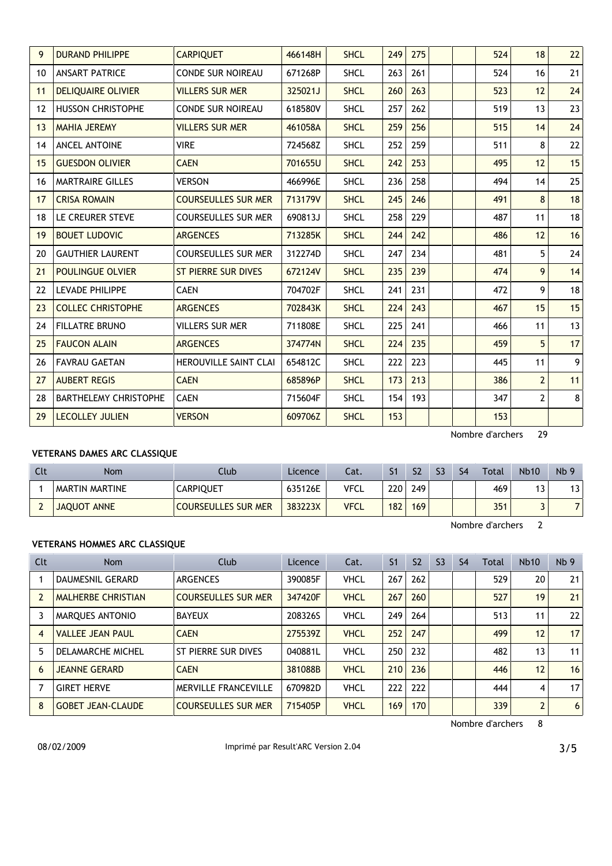| 9                 | <b>DURAND PHILIPPE</b>       | <b>CARPIQUET</b>           | 466148H | <b>SHCL</b> | 249 | 275 |  | 524 | 18             | 22             |
|-------------------|------------------------------|----------------------------|---------|-------------|-----|-----|--|-----|----------------|----------------|
| 10                | <b>ANSART PATRICE</b>        | <b>CONDE SUR NOIREAU</b>   | 671268P | <b>SHCL</b> | 263 | 261 |  | 524 | 16             | 21             |
| 11                | <b>DELIQUAIRE OLIVIER</b>    | <b>VILLERS SUR MER</b>     | 325021J | <b>SHCL</b> | 260 | 263 |  | 523 | 12             | 24             |
| $12 \overline{ }$ | <b>HUSSON CHRISTOPHE</b>     | <b>CONDE SUR NOIREAU</b>   | 618580V | <b>SHCL</b> | 257 | 262 |  | 519 | 13             | 23             |
| 13                | <b>MAHIA JEREMY</b>          | <b>VILLERS SUR MER</b>     | 461058A | <b>SHCL</b> | 259 | 256 |  | 515 | 14             | 24             |
| 14                | ANCEL ANTOINE                | <b>VIRE</b>                | 724568Z | <b>SHCL</b> | 252 | 259 |  | 511 | 8              | 22             |
| 15                | <b>GUESDON OLIVIER</b>       | <b>CAEN</b>                | 701655U | <b>SHCL</b> | 242 | 253 |  | 495 | 12             | 15             |
| 16                | <b>MARTRAIRE GILLES</b>      | <b>VERSON</b>              | 466996E | <b>SHCL</b> | 236 | 258 |  | 494 | 14             | 25             |
| 17                | <b>CRISA ROMAIN</b>          | <b>COURSEULLES SUR MER</b> | 713179V | <b>SHCL</b> | 245 | 246 |  | 491 | 8              | 18             |
| 18                | LE CREURER STEVE             | <b>COURSEULLES SUR MER</b> | 690813J | <b>SHCL</b> | 258 | 229 |  | 487 | 11             | 18             |
| 19                | <b>BOUET LUDOVIC</b>         | <b>ARGENCES</b>            | 713285K | <b>SHCL</b> | 244 | 242 |  | 486 | 12             | 16             |
| 20                | <b>GAUTHIER LAURENT</b>      | <b>COURSEULLES SUR MER</b> | 312274D | <b>SHCL</b> | 247 | 234 |  | 481 | 5              | 24             |
| 21                | <b>POULINGUE OLVIER</b>      | <b>ST PIERRE SUR DIVES</b> | 672124V | <b>SHCL</b> | 235 | 239 |  | 474 | 9              | 14             |
| 22                | LEVADE PHILIPPE              | <b>CAEN</b>                | 704702F | <b>SHCL</b> | 241 | 231 |  | 472 | 9              | 18             |
| 23                | <b>COLLEC CHRISTOPHE</b>     | <b>ARGENCES</b>            | 702843K | <b>SHCL</b> | 224 | 243 |  | 467 | 15             | 15             |
| 24                | <b>FILLATRE BRUNO</b>        | <b>VILLERS SUR MER</b>     | 711808E | <b>SHCL</b> | 225 | 241 |  | 466 | 11             | 13             |
| 25                | <b>FAUCON ALAIN</b>          | <b>ARGENCES</b>            | 374774N | <b>SHCL</b> | 224 | 235 |  | 459 | 5              | 17             |
| 26                | <b>FAVRAU GAETAN</b>         | HEROUVILLE SAINT CLAI      | 654812C | <b>SHCL</b> | 222 | 223 |  | 445 | 11             | 9 <sup>1</sup> |
| 27                | <b>AUBERT REGIS</b>          | <b>CAEN</b>                | 685896P | <b>SHCL</b> | 173 | 213 |  | 386 | $\overline{2}$ | 11             |
| 28                | <b>BARTHELEMY CHRISTOPHE</b> | <b>CAEN</b>                | 715604F | <b>SHCL</b> | 154 | 193 |  | 347 | 2              | 8 <sup>1</sup> |
| 29                | <b>LECOLLEY JULIEN</b>       | <b>VERSON</b>              | 609706Z | <b>SHCL</b> | 153 |     |  | 153 |                |                |

Nombre d'archers 29

# **VETERANS DAMES ARC CLASSIQUE**

| Clt | <b>Nom</b>         | Club                       | Licence | Cat.        |     | S <sub>2</sub> | S <sub>3</sub> | S4 | Total | <b>Nb10</b> | Nb <sub>9</sub> |
|-----|--------------------|----------------------------|---------|-------------|-----|----------------|----------------|----|-------|-------------|-----------------|
|     | MARTIN MARTINE     | <b>CARPIQUET</b>           | 635126E | <b>VFCL</b> | 220 | 249            |                |    | 469   | 13          | 13              |
|     | <b>JAOUOT ANNE</b> | <b>COURSEULLES SUR MER</b> | 383223X | <b>VFCL</b> | 182 | 169            |                |    | 351   |             | 71              |

Nombre d'archers 2

# **VETERANS HOMMES ARC CLASSIQUE**

| Clt | <b>Nom</b>                | Club                       | Licence | Cat.        | S <sub>1</sub> | S <sub>2</sub> | S <sub>3</sub> | S <sub>4</sub> | Total | <b>Nb10</b>    | Nb <sub>9</sub> |
|-----|---------------------------|----------------------------|---------|-------------|----------------|----------------|----------------|----------------|-------|----------------|-----------------|
|     | <b>DAUMESNIL GERARD</b>   | <b>ARGENCES</b>            | 390085F | <b>VHCL</b> | 267            | 262            |                |                | 529   | 20             | 21              |
|     | <b>MALHERBE CHRISTIAN</b> | <b>COURSEULLES SUR MER</b> | 347420F | <b>VHCL</b> | 267            | 260            |                |                | 527   | 19             | 21              |
| 3   | MARQUES ANTONIO           | <b>BAYEUX</b>              | 208326S | <b>VHCL</b> | 249            | 264            |                |                | 513   | 11             | 22              |
| 4   | <b>VALLEE JEAN PAUL</b>   | <b>CAEN</b>                | 275539Z | <b>VHCL</b> | 252            | 247            |                |                | 499   | 12             | 17              |
| 5.  | DELAMARCHE MICHEL         | ST PIERRE SUR DIVES        | 040881L | <b>VHCL</b> | 250            | 232            |                |                | 482   | 13             | 11              |
| 6   | <b>JEANNE GERARD</b>      | <b>CAEN</b>                | 381088B | <b>VHCL</b> | 210            | 236            |                |                | 446   | 12             | 16              |
|     | <b>GIRET HERVE</b>        | MERVILLE FRANCEVILLE       | 670982D | <b>VHCL</b> | 222            | 222            |                |                | 444   | 4              | 17              |
| 8   | <b>GOBET JEAN-CLAUDE</b>  | <b>COURSEULLES SUR MER</b> | 715405P | <b>VHCL</b> | 169            | 170            |                |                | 339   | $\overline{2}$ | 6               |

Nombre d'archers 8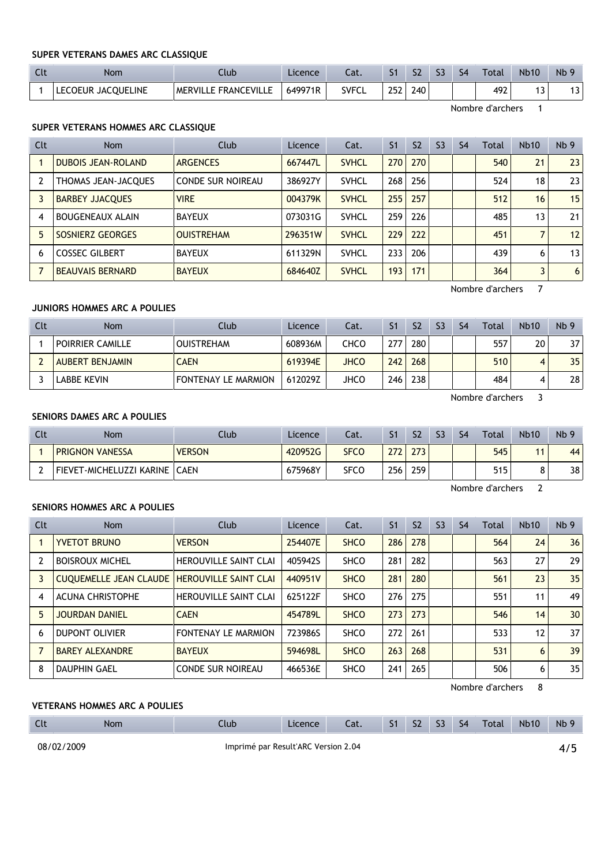#### **SUPER VETERANS DAMES ARC CLASSIQUE**

| -CL | Nom                | Llub                 | Licence | Cat.         |     | ch<br>34 | r n | $\varsigma_4$ | Total | <b>Nb10</b> | Nb <sub>9</sub> |
|-----|--------------------|----------------------|---------|--------------|-----|----------|-----|---------------|-------|-------------|-----------------|
|     | LECOEUR JACQUELINE | MERVILLE FRANCEVILLE | 649971R | <b>SVFCL</b> | 252 | 240      |     |               | 492   |             | . .<br>. ت      |

Nombre d'archers 1

#### **SUPER VETERANS HOMMES ARC CLASSIQUE**

| Clt | <b>Nom</b>                | Club                     | Licence | Cat.         | S <sub>1</sub> | S <sub>2</sub> | S <sub>3</sub> | S <sub>4</sub> | Total | <b>Nb10</b> | Nb <sub>9</sub> |
|-----|---------------------------|--------------------------|---------|--------------|----------------|----------------|----------------|----------------|-------|-------------|-----------------|
|     | <b>DUBOIS JEAN-ROLAND</b> | <b>ARGENCES</b>          | 667447L | <b>SVHCL</b> | 270            | 270            |                |                | 540   | 21          | 23              |
|     | THOMAS JEAN-JACQUES       | <b>CONDE SUR NOIREAU</b> | 386927Y | <b>SVHCL</b> | 268            | 256            |                |                | 524   | 18          | 23              |
|     | <b>BARBEY JJACQUES</b>    | <b>VIRE</b>              | 004379K | <b>SVHCL</b> | 255            | 257            |                |                | 512   | 16          | 15              |
| 4   | <b>BOUGENEAUX ALAIN</b>   | <b>BAYEUX</b>            | 073031G | <b>SVHCL</b> | 259            | 226            |                |                | 485   | 13          | 21              |
| 5   | SOSNIERZ GEORGES          | <b>OUISTREHAM</b>        | 296351W | <b>SVHCL</b> | 229            | 222            |                |                | 451   |             | 12              |
| 6   | <b>COSSEC GILBERT</b>     | <b>BAYEUX</b>            | 611329N | <b>SVHCL</b> | 233            | 206            |                |                | 439   | 6           | 13 <sub>1</sub> |
|     | <b>BEAUVAIS BERNARD</b>   | <b>BAYEUX</b>            | 684640Z | <b>SVHCL</b> | 193            | 171            |                |                | 364   | 3           | 6               |

Nombre d'archers 7

### **JUNIORS HOMMES ARC A POULIES**

| Clt | <b>Nom</b>             | Club                       | Licence | Cat.        | S <sub>1</sub> | S <sub>2</sub> | S <sub>3</sub> | S4 | Total | <b>Nb10</b> | Nb <sub>9</sub> |
|-----|------------------------|----------------------------|---------|-------------|----------------|----------------|----------------|----|-------|-------------|-----------------|
|     | POIRRIER CAMILLE       | <b>OUISTREHAM</b>          | 608936M | CHCO        | 27.            | 280            |                |    | 557   | 20          | 37 <sup>1</sup> |
|     | <b>AUBERT BENJAMIN</b> | <b>CAEN</b>                | 619394E | <b>JHCO</b> | 242            | 268            |                |    | 510   |             | 35              |
|     | LABBE KEVIN            | <b>FONTENAY LE MARMION</b> | 612029Z | JHCO        | 246            | 238            |                |    | 484   |             | 28 I            |

Nombre d'archers 3

# **SENIORS DAMES ARC A POULIES**

| Cl | Nom                      | Club          | Licence | Cat.        |                  | S <sub>2</sub> | S <sub>3</sub> | S4 | Total | <b>Nb10</b> | Nb <sub>9</sub> |
|----|--------------------------|---------------|---------|-------------|------------------|----------------|----------------|----|-------|-------------|-----------------|
|    | <b>PRIGNON VANESSA</b>   | <b>VERSON</b> | 420952G | <b>SFCO</b> | 272              | 273            |                |    | 545   |             | 44              |
|    | FIEVET-MICHELUZZI KARINE | <b>CAEN</b>   | 675968Y | SFCO        | 256 <sub>1</sub> | 259            |                |    | 515   |             | 38              |

Nombre d'archers 2

### **SENIORS HOMMES ARC A POULIES**

| Clt | Nom                           | Club                         | Licence | Cat.        | S <sub>1</sub> | S <sub>2</sub> | S <sub>3</sub> | S <sub>4</sub> | Total | <b>Nb10</b> | Nb <sub>9</sub> |
|-----|-------------------------------|------------------------------|---------|-------------|----------------|----------------|----------------|----------------|-------|-------------|-----------------|
|     | <b>YVETOT BRUNO</b>           | <b>VERSON</b>                | 254407E | <b>SHCO</b> | 286            | 278            |                |                | 564   | 24          | 36              |
|     | <b>BOISROUX MICHEL</b>        | <b>HEROUVILLE SAINT CLAI</b> | 405942S | <b>SHCO</b> | 281            | 282            |                |                | 563   | 27          | 29              |
| 3   | <b>CUQUEMELLE JEAN CLAUDE</b> | <b>HEROUVILLE SAINT CLAI</b> | 440951V | <b>SHCO</b> | 281            | 280            |                |                | 561   | 23          | 35              |
| 4   | <b>ACUNA CHRISTOPHE</b>       | <b>HEROUVILLE SAINT CLAI</b> | 625122F | <b>SHCO</b> | 276            | 275            |                |                | 551   | 11          | 49              |
| 5   | <b>JOURDAN DANIEL</b>         | <b>CAEN</b>                  | 454789L | <b>SHCO</b> | 273            | 273            |                |                | 546   | 14          | 30              |
| 6   | <b>DUPONT OLIVIER</b>         | <b>FONTENAY LE MARMION</b>   | 723986S | <b>SHCO</b> | 272            | 261            |                |                | 533   | 12          | 37 <sup>2</sup> |
|     | <b>BAREY ALEXANDRE</b>        | <b>BAYEUX</b>                | 594698L | <b>SHCO</b> | 263            | 268            |                |                | 531   | 6           | 39              |
| 8   | <b>DAUPHIN GAEL</b>           | <b>CONDE SUR NOIREAU</b>     | 466536E | <b>SHCO</b> | 241            | 265            |                |                | 506   | 6           | 35              |

Nombre d'archers 8

## **VETERANS HOMMES ARC A POULIES**

| $\mathsf{C}$ | Nom | Club                                | Licence | Cat. | S <sub>2</sub> | S <sub>3</sub> | -S4 | <b>Total</b> | <b>Nb10</b> | N <sub>b</sub> 9 |
|--------------|-----|-------------------------------------|---------|------|----------------|----------------|-----|--------------|-------------|------------------|
| 08/02/2009   |     | Imprimé par Result'ARC Version 2.04 |         |      |                |                |     |              |             |                  |